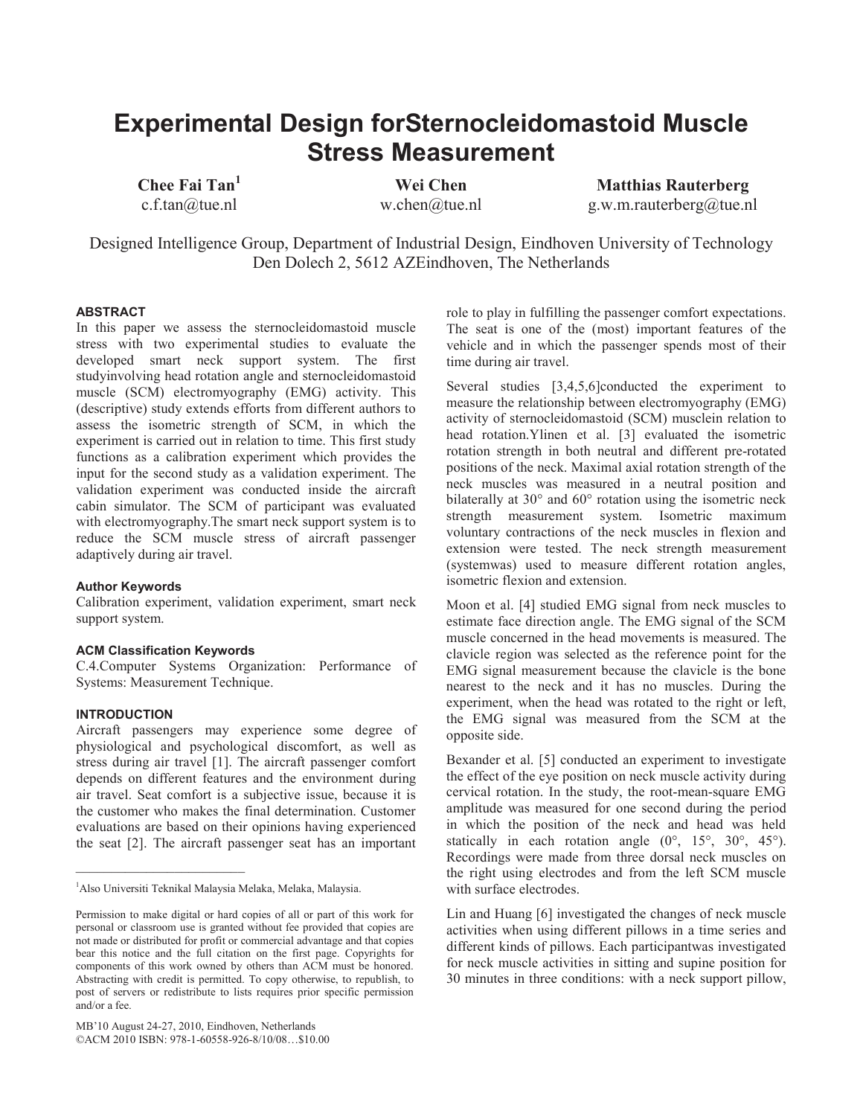# **Experimental Design forSternocleidomastoid Muscle Stress Measurement**

**Chee Fai Tan<sup>1</sup>** c.f.tan@tue.nl

**Wei Chen**  w.chen@tue.nl

**Matthias Rauterberg**  g.w.m.rauterberg@tue.nl

Designed Intelligence Group, Department of Industrial Design, Eindhoven University of Technology Den Dolech 2, 5612 AZEindhoven, The Netherlands

# **ABSTRACT**

In this paper we assess the sternocleidomastoid muscle stress with two experimental studies to evaluate the developed smart neck support system. The first studyinvolving head rotation angle and sternocleidomastoid muscle (SCM) electromyography (EMG) activity. This (descriptive) study extends efforts from different authors to assess the isometric strength of SCM, in which the experiment is carried out in relation to time. This first study functions as a calibration experiment which provides the input for the second study as a validation experiment. The validation experiment was conducted inside the aircraft cabin simulator. The SCM of participant was evaluated with electromyography.The smart neck support system is to reduce the SCM muscle stress of aircraft passenger adaptively during air travel.

# **Author Keywords**

Calibration experiment, validation experiment, smart neck support system.

# **ACM Classification Keywords**

 $\mathcal{L}_\text{max}$ 

C.4.Computer Systems Organization: Performance of Systems: Measurement Technique.

# **INTRODUCTION**

Aircraft passengers may experience some degree of physiological and psychological discomfort, as well as stress during air travel [1]. The aircraft passenger comfort depends on different features and the environment during air travel. Seat comfort is a subjective issue, because it is the customer who makes the final determination. Customer evaluations are based on their opinions having experienced the seat [2]. The aircraft passenger seat has an important

MB'10 August 24-27, 2010, Eindhoven, Netherlands ©ACM 2010 ISBN: 978-1-60558-926-8/10/08…\$10.00 role to play in fulfilling the passenger comfort expectations. The seat is one of the (most) important features of the vehicle and in which the passenger spends most of their time during air travel.

Several studies [3,4,5,6]conducted the experiment to measure the relationship between electromyography (EMG) activity of sternocleidomastoid (SCM) musclein relation to head rotation.Ylinen et al. [3] evaluated the isometric rotation strength in both neutral and different pre-rotated positions of the neck. Maximal axial rotation strength of the neck muscles was measured in a neutral position and bilaterally at 30° and 60° rotation using the isometric neck strength measurement system. Isometric maximum voluntary contractions of the neck muscles in flexion and extension were tested. The neck strength measurement (systemwas) used to measure different rotation angles, isometric flexion and extension.

Moon et al. [4] studied EMG signal from neck muscles to estimate face direction angle. The EMG signal of the SCM muscle concerned in the head movements is measured. The clavicle region was selected as the reference point for the EMG signal measurement because the clavicle is the bone nearest to the neck and it has no muscles. During the experiment, when the head was rotated to the right or left, the EMG signal was measured from the SCM at the opposite side.

Bexander et al. [5] conducted an experiment to investigate the effect of the eye position on neck muscle activity during cervical rotation. In the study, the root-mean-square EMG amplitude was measured for one second during the period in which the position of the neck and head was held statically in each rotation angle (0°, 15°, 30°, 45°). Recordings were made from three dorsal neck muscles on the right using electrodes and from the left SCM muscle with surface electrodes.

Lin and Huang [6] investigated the changes of neck muscle activities when using different pillows in a time series and different kinds of pillows. Each participantwas investigated for neck muscle activities in sitting and supine position for 30 minutes in three conditions: with a neck support pillow,

<sup>1</sup> Also Universiti Teknikal Malaysia Melaka, Melaka, Malaysia.

Permission to make digital or hard copies of all or part of this work for personal or classroom use is granted without fee provided that copies are not made or distributed for profit or commercial advantage and that copies bear this notice and the full citation on the first page. Copyrights for components of this work owned by others than ACM must be honored. Abstracting with credit is permitted. To copy otherwise, to republish, to post of servers or redistribute to lists requires prior specific permission and/or a fee.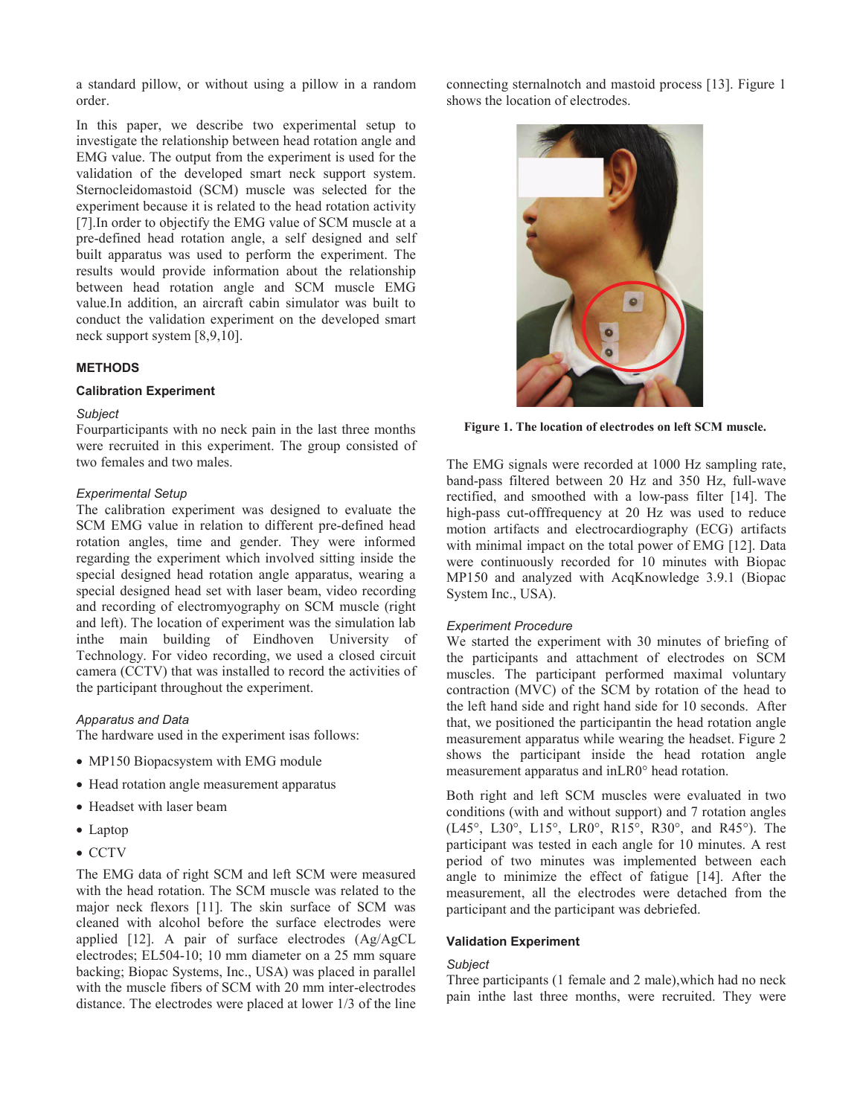a standard pillow, or without using a pillow in a random order.

In this paper, we describe two experimental setup to investigate the relationship between head rotation angle and EMG value. The output from the experiment is used for the validation of the developed smart neck support system. Sternocleidomastoid (SCM) muscle was selected for the experiment because it is related to the head rotation activity [7].In order to objectify the EMG value of SCM muscle at a pre-defined head rotation angle, a self designed and self built apparatus was used to perform the experiment. The results would provide information about the relationship between head rotation angle and SCM muscle EMG value.In addition, an aircraft cabin simulator was built to conduct the validation experiment on the developed smart neck support system [8,9,10].

## **METHODS**

## **Calibration Experiment**

#### *Subject*

Fourparticipants with no neck pain in the last three months were recruited in this experiment. The group consisted of two females and two males.

#### *Experimental Setup*

The calibration experiment was designed to evaluate the SCM EMG value in relation to different pre-defined head rotation angles, time and gender. They were informed regarding the experiment which involved sitting inside the special designed head rotation angle apparatus, wearing a special designed head set with laser beam, video recording and recording of electromyography on SCM muscle (right and left). The location of experiment was the simulation lab inthe main building of Eindhoven University of Technology. For video recording, we used a closed circuit camera (CCTV) that was installed to record the activities of the participant throughout the experiment.

## *Apparatus and Data*

The hardware used in the experiment isas follows:

- MP150 Biopacsystem with EMG module
- Head rotation angle measurement apparatus
- Headset with laser beam
- Laptop
- $\bullet$  CCTV

The EMG data of right SCM and left SCM were measured with the head rotation. The SCM muscle was related to the major neck flexors [11]. The skin surface of SCM was cleaned with alcohol before the surface electrodes were applied [12]. A pair of surface electrodes (Ag/AgCL electrodes; EL504-10; 10 mm diameter on a 25 mm square backing; Biopac Systems, Inc., USA) was placed in parallel with the muscle fibers of SCM with 20 mm inter-electrodes distance. The electrodes were placed at lower 1/3 of the line

connecting sternalnotch and mastoid process [13]. Figure 1 shows the location of electrodes.



**Figure 1. The location of electrodes on left SCM muscle.** 

The EMG signals were recorded at 1000 Hz sampling rate, band-pass filtered between 20 Hz and 350 Hz, full-wave rectified, and smoothed with a low-pass filter [14]. The high-pass cut-offfrequency at 20 Hz was used to reduce motion artifacts and electrocardiography (ECG) artifacts with minimal impact on the total power of EMG [12]. Data were continuously recorded for 10 minutes with Biopac MP150 and analyzed with AcqKnowledge 3.9.1 (Biopac System Inc., USA).

## *Experiment Procedure*

We started the experiment with 30 minutes of briefing of the participants and attachment of electrodes on SCM muscles. The participant performed maximal voluntary contraction (MVC) of the SCM by rotation of the head to the left hand side and right hand side for 10 seconds. After that, we positioned the participantin the head rotation angle measurement apparatus while wearing the headset. Figure 2 shows the participant inside the head rotation angle measurement apparatus and inLR0° head rotation.

Both right and left SCM muscles were evaluated in two conditions (with and without support) and 7 rotation angles (L45°, L30°, L15°, LR0°, R15°, R30°, and R45°). The participant was tested in each angle for 10 minutes. A rest period of two minutes was implemented between each angle to minimize the effect of fatigue [14]. After the measurement, all the electrodes were detached from the participant and the participant was debriefed.

#### **Validation Experiment**

#### *Subject*

Three participants (1 female and 2 male),which had no neck pain inthe last three months, were recruited. They were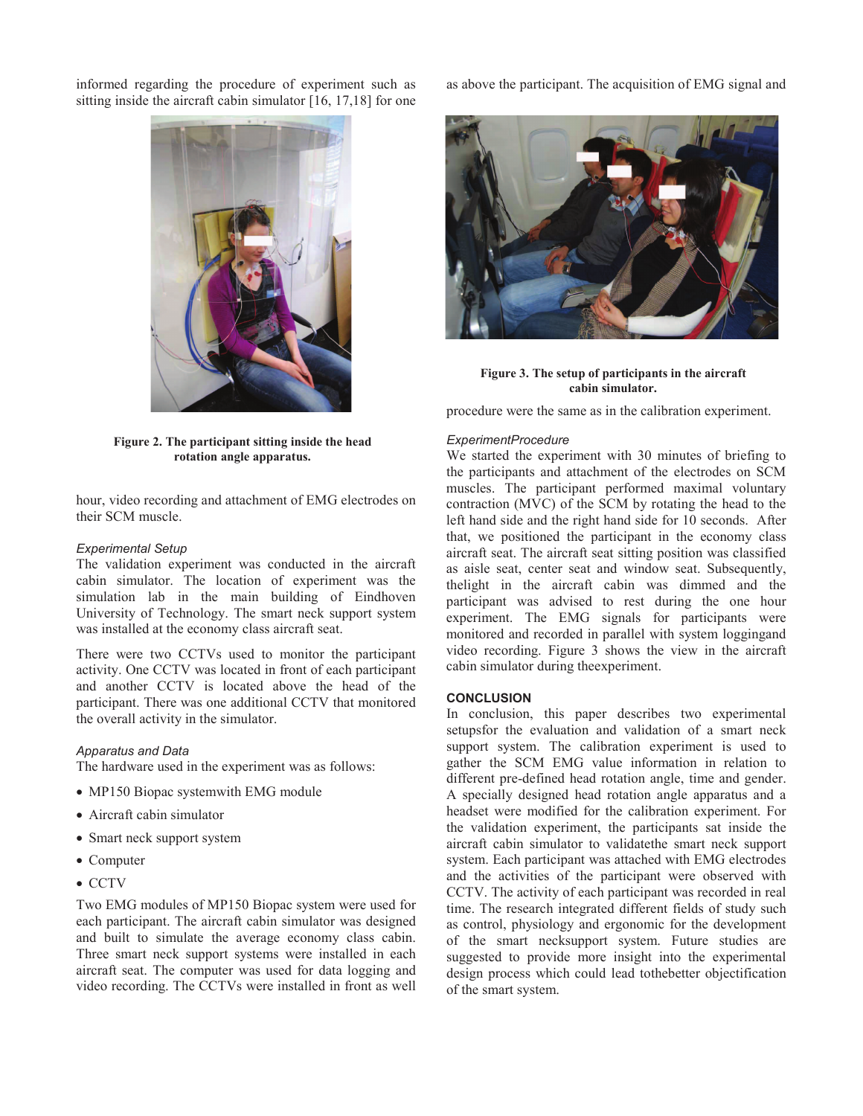informed regarding the procedure of experiment such as sitting inside the aircraft cabin simulator [16, 17,18] for one



**Figure 2. The participant sitting inside the head rotation angle apparatus.** 

hour, video recording and attachment of EMG electrodes on their SCM muscle.

## *Experimental Setup*

The validation experiment was conducted in the aircraft cabin simulator. The location of experiment was the simulation lab in the main building of Eindhoven University of Technology. The smart neck support system was installed at the economy class aircraft seat.

There were two CCTVs used to monitor the participant activity. One CCTV was located in front of each participant and another CCTV is located above the head of the participant. There was one additional CCTV that monitored the overall activity in the simulator.

#### *Apparatus and Data*

The hardware used in the experiment was as follows:

- MP150 Biopac systemwith EMG module
- Aircraft cabin simulator
- Smart neck support system
- Computer
- $\bullet$  CCTV

Two EMG modules of MP150 Biopac system were used for each participant. The aircraft cabin simulator was designed and built to simulate the average economy class cabin. Three smart neck support systems were installed in each aircraft seat. The computer was used for data logging and video recording. The CCTVs were installed in front as well as above the participant. The acquisition of EMG signal and



**Figure 3. The setup of participants in the aircraft cabin simulator.** 

procedure were the same as in the calibration experiment.

# *ExperimentProcedure*

We started the experiment with 30 minutes of briefing to the participants and attachment of the electrodes on SCM muscles. The participant performed maximal voluntary contraction (MVC) of the SCM by rotating the head to the left hand side and the right hand side for 10 seconds. After that, we positioned the participant in the economy class aircraft seat. The aircraft seat sitting position was classified as aisle seat, center seat and window seat. Subsequently, thelight in the aircraft cabin was dimmed and the participant was advised to rest during the one hour experiment. The EMG signals for participants were monitored and recorded in parallel with system loggingand video recording. Figure 3 shows the view in the aircraft cabin simulator during theexperiment.

# **CONCLUSION**

In conclusion, this paper describes two experimental setupsfor the evaluation and validation of a smart neck support system. The calibration experiment is used to gather the SCM EMG value information in relation to different pre-defined head rotation angle, time and gender. A specially designed head rotation angle apparatus and a headset were modified for the calibration experiment. For the validation experiment, the participants sat inside the aircraft cabin simulator to validatethe smart neck support system. Each participant was attached with EMG electrodes and the activities of the participant were observed with CCTV. The activity of each participant was recorded in real time. The research integrated different fields of study such as control, physiology and ergonomic for the development of the smart necksupport system. Future studies are suggested to provide more insight into the experimental design process which could lead tothebetter objectification of the smart system.